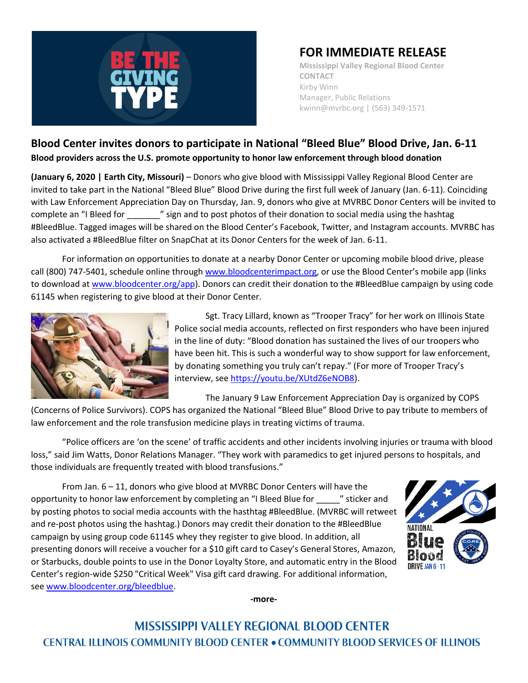

## **FOR IMMEDIATE RELEASE**

**Mississippi Valley Regional Blood Center CONTACT** Kirby Winn Manager, Public Relations kwinn@mvrbc.org | (563) 349-1571

## **Blood Center invites donors to participate in National "Bleed Blue" Blood Drive, Jan. 6-11 Blood providers across the U.S. promote opportunity to honor law enforcement through blood donation**

**(January 6, 2020 | Earth City, Missouri)** – Donors who give blood with Mississippi Valley Regional Blood Center are invited to take part in the National "Bleed Blue" Blood Drive during the first full week of January (Jan. 6-11). Coinciding with Law Enforcement Appreciation Day on Thursday, Jan. 9, donors who give at MVRBC Donor Centers will be invited to complete an "I Bleed for \_\_\_\_\_\_\_" sign and to post photos of their donation to social media using the hashtag #BleedBlue. Tagged images will be shared on the Blood Center's Facebook, Twitter, and Instagram accounts. MVRBC has also activated a #BleedBlue filter on SnapChat at its Donor Centers for the week of Jan. 6-11.

For information on opportunities to donate at a nearby Donor Center or upcoming mobile blood drive, please call (800) 747-5401, schedule online through [www.bloodcenterimpact.org](http://www.bloodcenterimpact.org/), or use the Blood Center's mobile app (links to download a[t www.bloodcenter.org/app\)](http://www.bloodcenter.org/app). Donors can credit their donation to the #BleedBlue campaign by using code 61145 when registering to give blood at their Donor Center.



Sgt. Tracy Lillard, known as "Trooper Tracy" for her work on Illinois State Police social media accounts, reflected on first responders who have been injured in the line of duty: "Blood donation has sustained the lives of our troopers who have been hit. This is such a wonderful way to show support for law enforcement, by donating something you truly can't repay." (For more of Trooper Tracy's interview, se[e https://youtu.be/XUtdZ6eNOB8\)](https://youtu.be/XUtdZ6eNOB8).

The January 9 Law Enforcement Appreciation Day is organized by COPS

(Concerns of Police Survivors). COPS has organized the National "Bleed Blue" Blood Drive to pay tribute to members of law enforcement and the role transfusion medicine plays in treating victims of trauma.

"Police officers are 'on the scene' of traffic accidents and other incidents involving injuries or trauma with blood loss," said Jim Watts, Donor Relations Manager. "They work with paramedics to get injured persons to hospitals, and those individuals are frequently treated with blood transfusions."

From Jan. 6 – 11, donors who give blood at MVRBC Donor Centers will have the opportunity to honor law enforcement by completing an "I Bleed Blue for \_\_\_\_\_" sticker and by posting photos to social media accounts with the hasthtag #BleedBlue. (MVRBC will retweet and re-post photos using the hashtag.) Donors may credit their donation to the #BleedBlue campaign by using group code 61145 whey they register to give blood. In addition, all presenting donors will receive a voucher for a \$10 gift card to Casey's General Stores, Amazon, or Starbucks, double points to use in the Donor Loyalty Store, and automatic entry in the Blood Center's region-wide \$250 "Critical Week" Visa gift card drawing. For additional information, se[e www.bloodcenter.org/bleedblue.](http://www.bloodcenter.org/bleedblue)



**-more-**